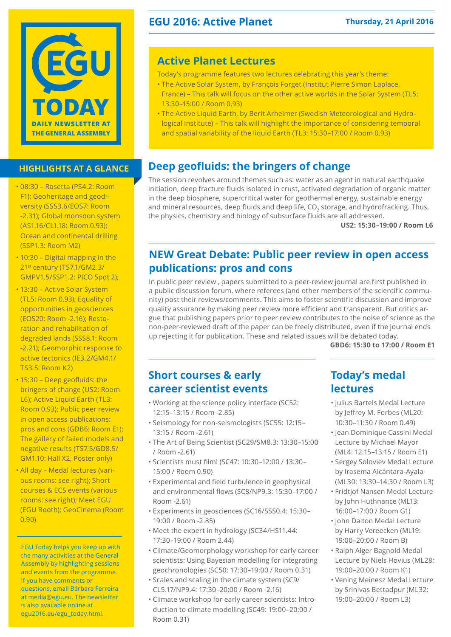

## **highlights at a glance**

- • 08:30 Rosetta (PS4.2: Room F1); Geoheritage and geodiversity (SSS3.6/EOS7: Room -2.31); Global monsoon system (AS1.16/CL1.18: Room 0.93); Ocean and continental drilling (SSP1.3: Room M2)
- 10:30 Digital mapping in the 21st century (TS7.1/GM2.3/ GMPV1.5/SSP1.2: PICO Spot 2);
- 13:30 Active Solar System (TL5: Room 0.93); Equality of opportunities in geosciences (EOS20: Room -2.16); Restoration and rehabilitation of degraded lands (SSS8.1: Room -2.21); Geomorphic response to active tectonics (IE3.2/GM4.1/ TS3.5: Room K2)
- 15:30 Deep geofluids: the bringers of change (US2: Room L6); Active Liquid Earth (TL3: Room 0.93); Public peer review in open access publications: pros and cons (GDB6: Room E1); The gallery of failed models and negative results (TS7.5/GD8.5/ GM1.10: Hall X2, Poster only)
- • All day Medal lectures (various rooms: see right); Short courses & ECS events (various rooms: see right); Meet EGU (EGU Booth); GeoCinema (Room 0.90)

EGU Today helps you keep up with the many activities at the General Assembly by highlighting sessions and events from the programme. If you have comments or questions, email Bárbara Ferreira at media@egu.eu. The newsletter is also available online at [egu2016.eu/egu\\_today.html.](http://egu2016.eu/egu_today.html)

## **EGU 2016: Active Planet Thursday, 21 April 2016**

## **Active Planet Lectures**

Today's programme features two lectures celebrating this year's theme:

- The Active Solar System, by François Forget (Institut Pierre Simon Laplace, France) – This talk will focus on the other active worlds in the Solar System (TL5: 13:30–15:00 / Room 0.93)
- The Active Liquid Earth, by Berit Arheimer (Swedish Meteorological and Hydrological Institute) – This talk will highlight the importance of considering temporal and spatial variability of the liquid Earth (TL3: 15:30–17:00 / Room 0.93)

## **Deep geofluids: the bringers of change**

The session revolves around themes such as: water as an agent in natural earthquake initiation, deep fracture fluids isolated in crust, activated degradation of organic matter in the deep biosphere, supercritical water for geothermal energy, sustainable energy and mineral resources, deep fluids and deep life, CO<sub>2</sub> storage, and hydrofracking. Thus, the physics, chemistry and biology of subsurface fluids are all addressed.

**US2: 15:30–19:00 / Room L6**

# **NEW Great Debate: Public peer review in open access publications: pros and cons**

In public peer review , papers submitted to a peer-review journal are first published in a public discussion forum, where referees (and other members of the scientific community) post their reviews/comments. This aims to foster scientific discussion and improve quality assurance by making peer review more efficient and transparent. But critics argue that publishing papers prior to peer review contributes to the noise of science as the non-peer-reviewed draft of the paper can be freely distributed, even if the journal ends up rejecting it for publication. These and related issues will be debated today.

**GBD6: 15:30 to 17:00 / Room E1**

## **Short courses & early career scientist events**

- • Working at the science policy interface (SC52: 12:15–13:15 / Room -2.85)
- • Seismology for non-seismologists (SC55: 12:15– 13:15 / Room -2.61)
- The Art of Being Scientist (SC29/SM8.3: 13:30-15:00 / Room -2.61)
- • Scientists must film! (SC47: 10:30–12:00 / 13:30– 15:00 / Room 0.90)
- Experimental and field turbulence in geophysical and environmental flows (SC8/NP9.3: 15:30–17:00 / Room -2.61)
- • Experiments in geosciences (SC16/SSS0.4: 15:30– 19:00 / Room -2.85)
- • Meet the expert in hydrology (SC34/HS11.44: 17:30–19:00 / Room 2.44)
- • Climate/Geomorphology workshop for early career scientists: Using Bayesian modelling for integrating geochronologies (SC50: 17:30–19:00 / Room 0.31)
- • Scales and scaling in the climate system (SC9/ CL5.17/NP9.4: 17:30–20:00 / Room -2.16)
- • Climate workshop for early career scientists: Introduction to climate modelling (SC49: 19:00–20:00 / Room 0.31)

# **Today's medal lectures**

- • Julius Bartels Medal Lecture by Jeffrey M. Forbes (ML20: 10:30–11:30 / Room 0.49)
- • Jean Dominique Cassini Medal Lecture by Michael Mayor (ML4: 12:15–13:15 / Room E1)
- • Sergey Soloviev Medal Lecture by Irasema Alcántara-Ayala (ML30: 13:30–14:30 / Room L3)
- • Fridtjof Nansen Medal Lecture by John Huthnance (ML13: 16:00–17:00 / Room G1)
- • John Dalton Medal Lecture by Harry Vereecken (ML19: 19:00–20:00 / Room B)
- • Ralph Alger Bagnold Medal Lecture by Niels Hovius (ML28: 19:00–20:00 / Room K1)
- • Vening Meinesz Medal Lecture by Srinivas Bettadpur (ML32: 19:00–20:00 / Room L3)